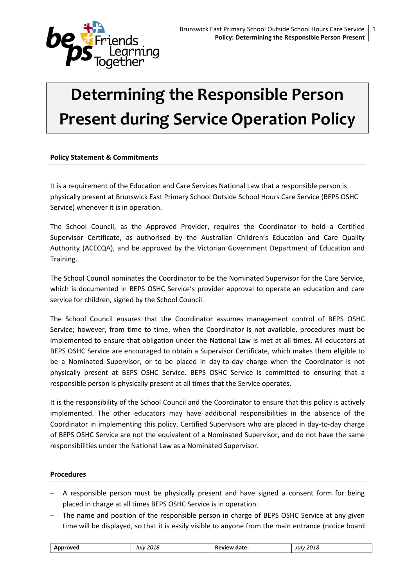

# **Determining the Responsible Person Present during Service Operation Policy**

## **Policy Statement & Commitments**

It is a requirement of the Education and Care Services National Law that a responsible person is physically present at Brunswick East Primary School Outside School Hours Care Service (BEPS OSHC Service) whenever it is in operation.

The School Council, as the Approved Provider, requires the Coordinator to hold a Certified Supervisor Certificate, as authorised by the Australian Children's Education and Care Quality Authority (ACECQA), and be approved by the Victorian Government Department of Education and Training.

The School Council nominates the Coordinator to be the Nominated Supervisor for the Care Service, which is documented in BEPS OSHC Service's provider approval to operate an education and care service for children, signed by the School Council.

The School Council ensures that the Coordinator assumes management control of BEPS OSHC Service; however, from time to time, when the Coordinator is not available, procedures must be implemented to ensure that obligation under the National Law is met at all times. All educators at BEPS OSHC Service are encouraged to obtain a Supervisor Certificate, which makes them eligible to be a Nominated Supervisor, or to be placed in day-to-day charge when the Coordinator is not physically present at BEPS OSHC Service. BEPS OSHC Service is committed to ensuring that a responsible person is physically present at all times that the Service operates.

It is the responsibility of the School Council and the Coordinator to ensure that this policy is actively implemented. The other educators may have additional responsibilities in the absence of the Coordinator in implementing this policy. Certified Supervisors who are placed in day-to-day charge of BEPS OSHC Service are not the equivalent of a Nominated Supervisor, and do not have the same responsibilities under the National Law as a Nominated Supervisor.

#### **Procedures**

- A responsible person must be physically present and have signed a consent form for being placed in charge at all times BEPS OSHC Service is in operation.
- The name and position of the responsible person in charge of BEPS OSHC Service at any given time will be displayed, so that it is easily visible to anyone from the main entrance (notice board

| . We<br>л.<br>$ -$ | 2018<br>iulv<br>___ | date<br>в.<br>______ | 0.10<br>Julv<br>:UIC<br>___ |
|--------------------|---------------------|----------------------|-----------------------------|
|                    |                     |                      |                             |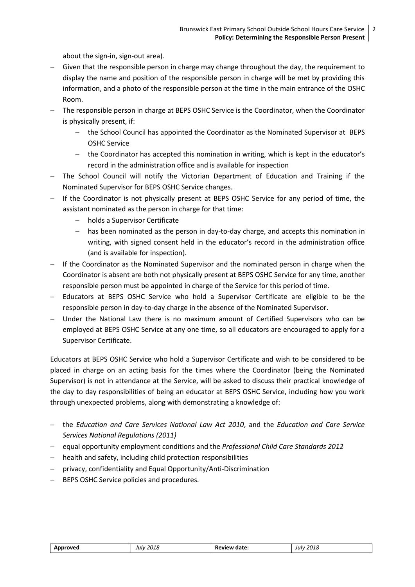about the sign-in, sign-out area).

- Given that the responsible person in charge may change throughout the day, the requirement to display the name and position of the responsible person in charge will be met by providing this information, and a photo of the responsible person at the time in the main entrance of the OSHC Room.
- The responsible person in charge at BEPS OSHC Service is the Coordinator, when the Coordinator is physically present, if:
	- the School Council has appointed the Coordinator as the Nominated Supervisor at BEPS OSHC Service
	- $-$  the Coordinator has accepted this nomination in writing, which is kept in the educator's record in the administration office and is available for inspection
- The School Council will notify the Victorian Department of Education and Training if the Nominated Supervisor for BEPS OSHC Service changes.
- If the Coordinator is not physically present at BEPS OSHC Service for any period of time, the assistant nominated as the person in charge for that time:
	- holds a Supervisor Certificate
	- has been nominated as the person in day-to-day charge, and accepts this nomina**t**ion in writing, with signed consent held in the educator's record in the administration office (and is available for inspection).
- $-I$  If the Coordinator as the Nominated Supervisor and the nominated person in charge when the Coordinator is absent are both not physically present at BEPS OSHC Service for any time, another responsible person must be appointed in charge of the Service for this period of time.
- Educators at BEPS OSHC Service who hold a Supervisor Certificate are eligible to be the responsible person in day-to-day charge in the absence of the Nominated Supervisor.
- Under the National Law there is no maximum amount of Certified Supervisors who can be employed at BEPS OSHC Service at any one time, so all educators are encouraged to apply for a Supervisor Certificate.

Educators at BEPS OSHC Service who hold a Supervisor Certificate and wish to be considered to be placed in charge on an acting basis for the times where the Coordinator (being the Nominated Supervisor) is not in attendance at the Service, will be asked to discuss their practical knowledge of the day to day responsibilities of being an educator at BEPS OSHC Service, including how you work through unexpected problems, along with demonstrating a knowledge of:

- the *Education and Care Services National Law Act 2010*, and the *Education and Care Service Services National Regulations (2011)*
- equal opportunity employment conditions and the *Professional Child Care Standards 2012*
- health and safety, including child protection responsibilities
- privacy, confidentiality and Equal Opportunity/Anti-Discrimination
- BEPS OSHC Service policies and procedures.

| roveo.<br>$- - -$ | 2018<br>Julv<br>___<br>$\sim$ | date:<br>$^{\circ}$<br>'VIE<br>ĸŧ<br>. | 2010<br>Julv<br>zuiz<br>___<br>__ |
|-------------------|-------------------------------|----------------------------------------|-----------------------------------|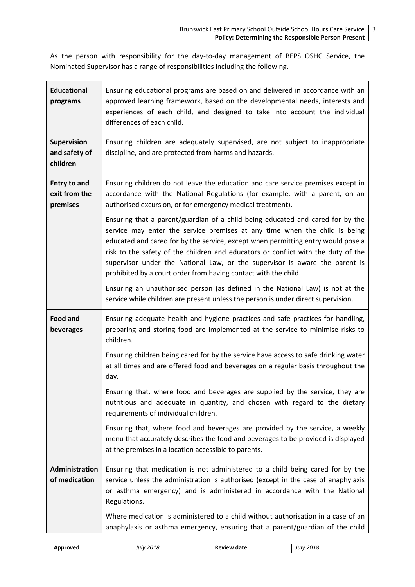As the person with responsibility for the day-to-day management of BEPS OSHC Service, the Nominated Supervisor has a range of responsibilities including the following.

| <b>Educational</b><br>programs                   | Ensuring educational programs are based on and delivered in accordance with an<br>approved learning framework, based on the developmental needs, interests and<br>experiences of each child, and designed to take into account the individual<br>differences of each child.                                                                                                                                                                                                             |
|--------------------------------------------------|-----------------------------------------------------------------------------------------------------------------------------------------------------------------------------------------------------------------------------------------------------------------------------------------------------------------------------------------------------------------------------------------------------------------------------------------------------------------------------------------|
| <b>Supervision</b><br>and safety of<br>children  | Ensuring children are adequately supervised, are not subject to inappropriate<br>discipline, and are protected from harms and hazards.                                                                                                                                                                                                                                                                                                                                                  |
| <b>Entry to and</b><br>exit from the<br>premises | Ensuring children do not leave the education and care service premises except in<br>accordance with the National Regulations (for example, with a parent, on an<br>authorised excursion, or for emergency medical treatment).                                                                                                                                                                                                                                                           |
|                                                  | Ensuring that a parent/guardian of a child being educated and cared for by the<br>service may enter the service premises at any time when the child is being<br>educated and cared for by the service, except when permitting entry would pose a<br>risk to the safety of the children and educators or conflict with the duty of the<br>supervisor under the National Law, or the supervisor is aware the parent is<br>prohibited by a court order from having contact with the child. |
|                                                  | Ensuring an unauthorised person (as defined in the National Law) is not at the<br>service while children are present unless the person is under direct supervision.                                                                                                                                                                                                                                                                                                                     |
| Food and<br>beverages                            | Ensuring adequate health and hygiene practices and safe practices for handling,<br>preparing and storing food are implemented at the service to minimise risks to<br>children.                                                                                                                                                                                                                                                                                                          |
|                                                  | Ensuring children being cared for by the service have access to safe drinking water<br>at all times and are offered food and beverages on a regular basis throughout the<br>day.                                                                                                                                                                                                                                                                                                        |
|                                                  | Ensuring that, where food and beverages are supplied by the service, they are<br>nutritious and adequate in quantity, and chosen with regard to the dietary<br>requirements of individual children.                                                                                                                                                                                                                                                                                     |
|                                                  | Ensuring that, where food and beverages are provided by the service, a weekly<br>menu that accurately describes the food and beverages to be provided is displayed<br>at the premises in a location accessible to parents.                                                                                                                                                                                                                                                              |
| <b>Administration</b><br>of medication           | Ensuring that medication is not administered to a child being cared for by the<br>service unless the administration is authorised (except in the case of anaphylaxis<br>or asthma emergency) and is administered in accordance with the National<br>Regulations.                                                                                                                                                                                                                        |
|                                                  | Where medication is administered to a child without authorisation in a case of an<br>anaphylaxis or asthma emergency, ensuring that a parent/guardian of the child                                                                                                                                                                                                                                                                                                                      |

| …∩ver<br>Δnnr | 2018<br>Julv<br>___ | date<br>.<br>.<br>nı<br>______ | 2018<br>Julv<br>___ |
|---------------|---------------------|--------------------------------|---------------------|
|               |                     |                                |                     |